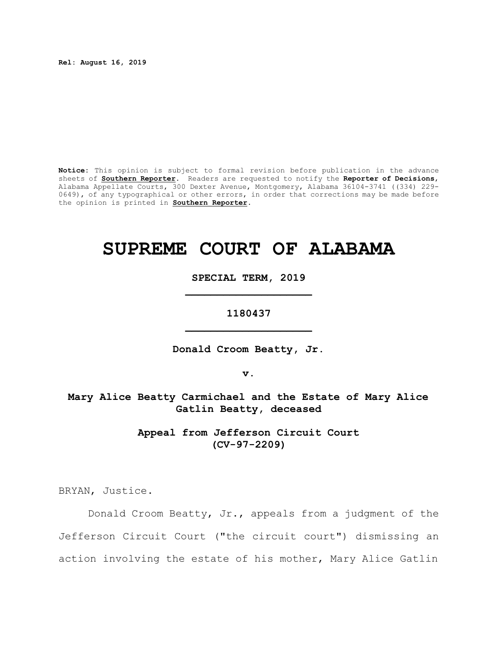**Rel: August 16, 2019**

**Notice:** This opinion is subject to formal revision before publication in the advance sheets of **Southern Reporter**. Readers are requested to notify the **Reporter of Decisions**, Alabama Appellate Courts, 300 Dexter Avenue, Montgomery, Alabama 36104-3741 ((334) 229- 0649), of any typographical or other errors, in order that corrections may be made before the opinion is printed in **Southern Reporter**.

# **SUPREME COURT OF ALABAMA**

**SPECIAL TERM, 2019 \_\_\_\_\_\_\_\_\_\_\_\_\_\_\_\_\_\_\_\_**

**1180437 \_\_\_\_\_\_\_\_\_\_\_\_\_\_\_\_\_\_\_\_**

**Donald Croom Beatty, Jr.**

**v.**

**Mary Alice Beatty Carmichael and the Estate of Mary Alice Gatlin Beatty, deceased**

> **Appeal from Jefferson Circuit Court (CV-97-2209)**

BRYAN, Justice.

Donald Croom Beatty, Jr., appeals from a judgment of the Jefferson Circuit Court ("the circuit court") dismissing an action involving the estate of his mother, Mary Alice Gatlin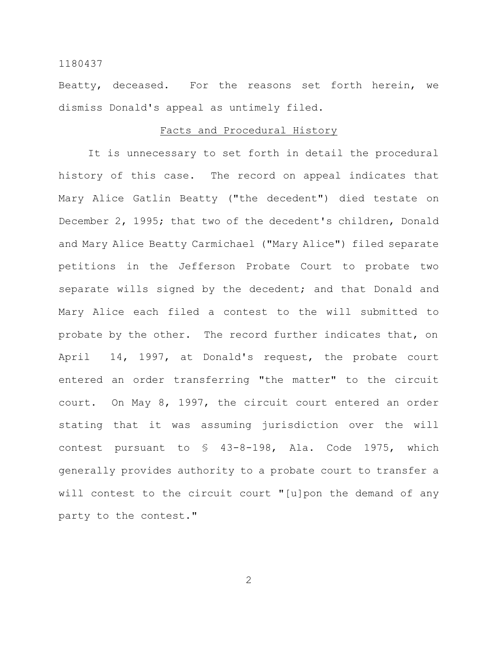Beatty, deceased. For the reasons set forth herein, we dismiss Donald's appeal as untimely filed.

### Facts and Procedural History

It is unnecessary to set forth in detail the procedural history of this case. The record on appeal indicates that Mary Alice Gatlin Beatty ("the decedent") died testate on December 2, 1995; that two of the decedent's children, Donald and Mary Alice Beatty Carmichael ("Mary Alice") filed separate petitions in the Jefferson Probate Court to probate two separate wills signed by the decedent; and that Donald and Mary Alice each filed a contest to the will submitted to probate by the other. The record further indicates that, on April 14, 1997, at Donald's request, the probate court entered an order transferring "the matter" to the circuit court. On May 8, 1997, the circuit court entered an order stating that it was assuming jurisdiction over the will contest pursuant to § 43-8-198, Ala. Code 1975, which generally provides authority to a probate court to transfer a will contest to the circuit court "[u]pon the demand of any party to the contest."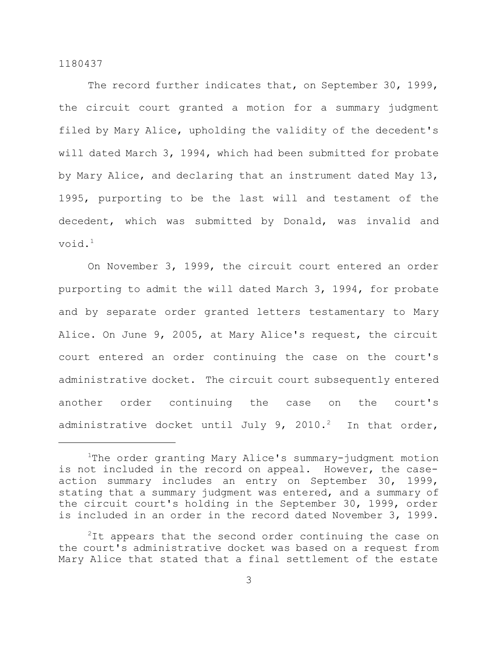The record further indicates that, on September 30, 1999, the circuit court granted a motion for a summary judgment filed by Mary Alice, upholding the validity of the decedent's will dated March 3, 1994, which had been submitted for probate by Mary Alice, and declaring that an instrument dated May 13, 1995, purporting to be the last will and testament of the decedent, which was submitted by Donald, was invalid and void.<sup>1</sup>

On November 3, 1999, the circuit court entered an order purporting to admit the will dated March 3, 1994, for probate and by separate order granted letters testamentary to Mary Alice. On June 9, 2005, at Mary Alice's request, the circuit court entered an order continuing the case on the court's administrative docket. The circuit court subsequently entered another order continuing the case on the court's administrative docket until July 9, 2010.<sup>2</sup> In that order,

<sup>&</sup>lt;sup>1</sup>The order granting Mary Alice's summary-judgment motion is not included in the record on appeal. However, the caseaction summary includes an entry on September 30, 1999, stating that a summary judgment was entered, and a summary of the circuit court's holding in the September 30, 1999, order is included in an order in the record dated November 3, 1999.

 $2$ It appears that the second order continuing the case on the court's administrative docket was based on a request from Mary Alice that stated that a final settlement of the estate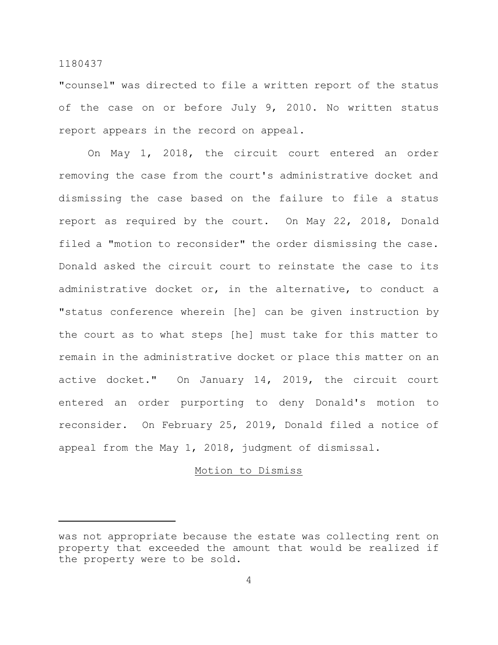"counsel" was directed to file a written report of the status of the case on or before July 9, 2010. No written status report appears in the record on appeal.

On May 1, 2018, the circuit court entered an order removing the case from the court's administrative docket and dismissing the case based on the failure to file a status report as required by the court. On May 22, 2018, Donald filed a "motion to reconsider" the order dismissing the case. Donald asked the circuit court to reinstate the case to its administrative docket or, in the alternative, to conduct a "status conference wherein [he] can be given instruction by the court as to what steps [he] must take for this matter to remain in the administrative docket or place this matter on an active docket." On January 14, 2019, the circuit court entered an order purporting to deny Donald's motion to reconsider. On February 25, 2019, Donald filed a notice of appeal from the May 1, 2018, judgment of dismissal.

#### Motion to Dismiss

was not appropriate because the estate was collecting rent on property that exceeded the amount that would be realized if the property were to be sold.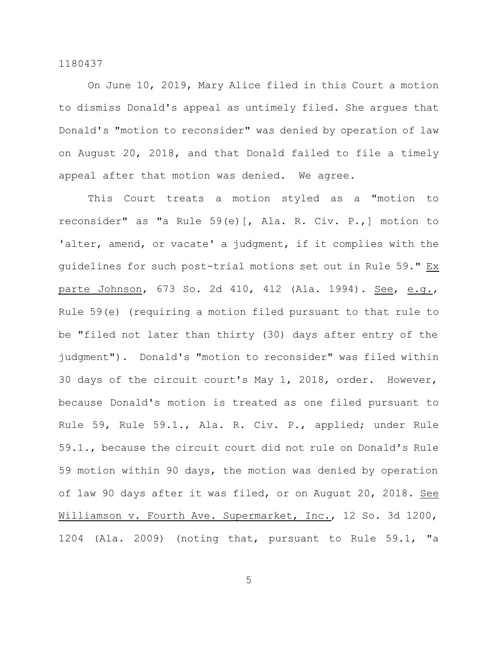On June 10, 2019, Mary Alice filed in this Court a motion to dismiss Donald's appeal as untimely filed. She argues that Donald's "motion to reconsider" was denied by operation of law on August 20, 2018, and that Donald failed to file a timely appeal after that motion was denied. We agree.

This Court treats a motion styled as a "motion to reconsider" as "a Rule 59(e)[, Ala. R. Civ. P.,] motion to 'alter, amend, or vacate' a judgment, if it complies with the guidelines for such post-trial motions set out in Rule 59." Ex parte Johnson, 673 So. 2d 410, 412 (Ala. 1994). See, e.g., Rule 59(e) (requiring a motion filed pursuant to that rule to be "filed not later than thirty (30) days after entry of the judgment"). Donald's "motion to reconsider" was filed within 30 days of the circuit court's May 1, 2018, order. However, because Donald's motion is treated as one filed pursuant to Rule 59, Rule 59.1., Ala. R. Civ. P., applied; under Rule 59.1., because the circuit court did not rule on Donald's Rule 59 motion within 90 days, the motion was denied by operation of law 90 days after it was filed, or on August 20, 2018. See Williamson v. Fourth Ave. Supermarket, Inc., 12 So. 3d 1200, 1204 (Ala. 2009) (noting that, pursuant to Rule 59.1, "a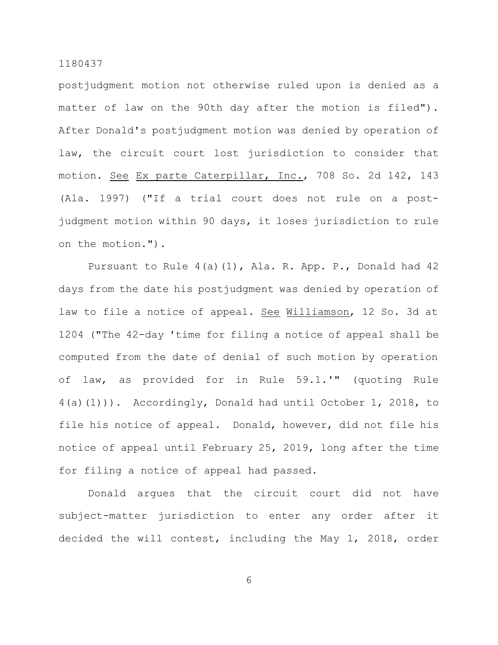postjudgment motion not otherwise ruled upon is denied as a matter of law on the 90th day after the motion is filed"). After Donald's postjudgment motion was denied by operation of law, the circuit court lost jurisdiction to consider that motion. See Ex parte Caterpillar, Inc., 708 So. 2d 142, 143 (Ala. 1997) ("If a trial court does not rule on a postjudgment motion within 90 days, it loses jurisdiction to rule on the motion.").

Pursuant to Rule 4(a)(1), Ala. R. App. P., Donald had 42 days from the date his postjudgment was denied by operation of law to file a notice of appeal. See Williamson, 12 So. 3d at 1204 ("The 42-day 'time for filing a notice of appeal shall be computed from the date of denial of such motion by operation of law, as provided for in Rule 59.1.'" (quoting Rule 4(a)(1))). Accordingly, Donald had until October 1, 2018, to file his notice of appeal. Donald, however, did not file his notice of appeal until February 25, 2019, long after the time for filing a notice of appeal had passed.

Donald argues that the circuit court did not have subject-matter jurisdiction to enter any order after it decided the will contest, including the May 1, 2018, order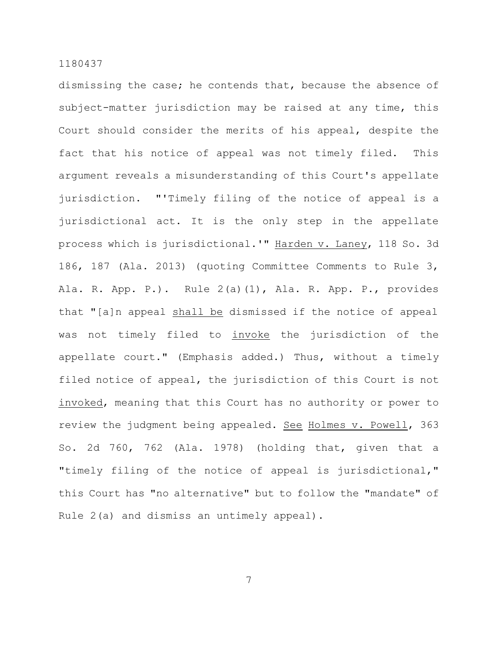dismissing the case; he contends that, because the absence of subject-matter jurisdiction may be raised at any time, this Court should consider the merits of his appeal, despite the fact that his notice of appeal was not timely filed. This argument reveals a misunderstanding of this Court's appellate jurisdiction. "'Timely filing of the notice of appeal is a jurisdictional act. It is the only step in the appellate process which is jurisdictional.'" Harden v. Laney, 118 So. 3d 186, 187 (Ala. 2013) (quoting Committee Comments to Rule 3, Ala. R. App. P.). Rule 2(a)(1), Ala. R. App. P., provides that "[a]n appeal shall be dismissed if the notice of appeal was not timely filed to invoke the jurisdiction of the appellate court." (Emphasis added.) Thus, without a timely filed notice of appeal, the jurisdiction of this Court is not invoked, meaning that this Court has no authority or power to review the judgment being appealed. See Holmes v. Powell, 363 So. 2d 760, 762 (Ala. 1978) (holding that, given that a "timely filing of the notice of appeal is jurisdictional," this Court has "no alternative" but to follow the "mandate" of Rule 2(a) and dismiss an untimely appeal).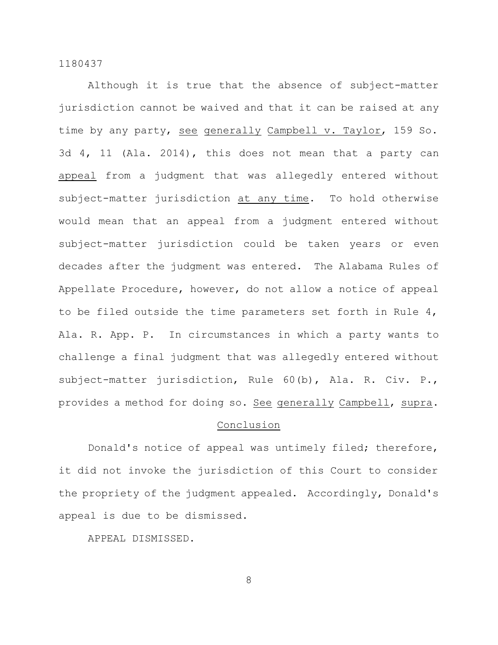Although it is true that the absence of subject-matter jurisdiction cannot be waived and that it can be raised at any time by any party, see generally Campbell v. Taylor, 159 So. 3d 4, 11 (Ala. 2014), this does not mean that a party can appeal from a judgment that was allegedly entered without subject-matter jurisdiction at any time. To hold otherwise would mean that an appeal from a judgment entered without subject-matter jurisdiction could be taken years or even decades after the judgment was entered. The Alabama Rules of Appellate Procedure, however, do not allow a notice of appeal to be filed outside the time parameters set forth in Rule 4, Ala. R. App. P. In circumstances in which a party wants to challenge a final judgment that was allegedly entered without subject-matter jurisdiction, Rule 60(b), Ala. R. Civ. P., provides a method for doing so. See generally Campbell, supra.

# Conclusion

Donald's notice of appeal was untimely filed; therefore, it did not invoke the jurisdiction of this Court to consider the propriety of the judgment appealed. Accordingly, Donald's appeal is due to be dismissed.

APPEAL DISMISSED.